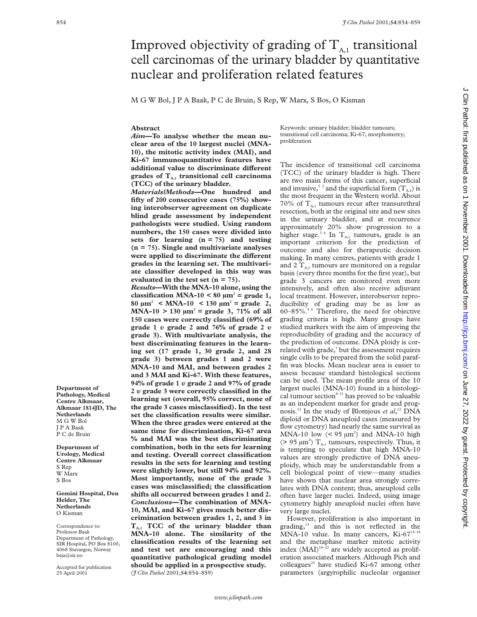# Improved objectivity of grading of  $T_{A,1}$  transitional cell carcinomas of the urinary bladder by quantitative nuclear and proliferation related features

M G W Bol, J P A Baak, P C de Bruin, S Rep, W Marx, S Bos, O Kisman

#### **Abstract**

*Aim***—To analyse whether the mean nuclear area of the 10 largest nuclei (MNA-10), the mitotic activity index (MAI), and Ki-67 immunoquantitative features have** additional value to discriminate different grades of T<sub>A,1</sub> transitional cell carcinoma **(TCC) of the urinary bladder.**

*Materials/Methods***—One hundred and fifty of 200 consecutive cases (75%) showing interobserver agreement on duplicate blind grade assessment by independent pathologists were studied. Using random numbers, the 150 cases were divided into sets for learning (n = 75) and testing (n = 75). Single and multivariate analyses** were applied to discriminate the different **grades in the learning set. The multivariate classifier developed in this way was evaluated in the test set (n = 75).**

*Results***—With the MNA-10 alone, using the** classification MNA-10 <  $80 \mu m^2$  = grade 1,  $80 \mu m^2$  < MNA-10 < 130  $\mu m^2$  = grade 2,  $MNA-10 > 130 \mu m^2$  = grade 3, 71% of all **150 cases were correctly classified (69% of grade 1** *v* **grade 2 and 76% of grade 2** *v* **grade 3). With multivariate analysis, the best discriminating features in the learning set (17 grade 1, 30 grade 2, and 28 grade 3) between grades 1 and 2 were MNA-10 and MAI, and between grades 2 and 3 MAI and Ki-67. With these features, 94% of grade 1** *v* **grade 2 and 97% of grade 2** *v* **grade 3 were correctly classified in the learning set (overall, 95% correct, none of the grade 3 cases misclassified). In the test set the classification results were similar. When the three grades were entered at the same time for discrimination, Ki-67 area % and MAI was the best discriminating combination, both in the sets for learning and testing. Overall correct classification results in the sets for learning and testing were slightly lower, but still 94% and 92%. Most importantly, none of the grade 3 cases was misclassified; the classification shifts all occurred between grades 1 and 2.** *Conclusions***—The combination of MNA-10, MAI, and Ki-67 gives much better discrimination between grades 1, 2, and 3 in TA,1 TCC of the urinary bladder than MNA-10 alone. The similarity of the classification results of the learning set and test set are encouraging and this quantitative pathological grading model should be applied in a prospective study.** (*J Clin Pathol* 2001;**54**:854–859)

Keywords: urinary bladder; bladder tumours; transitional cell carcinoma; Ki-67; morphometry; proliferation

The incidence of transitional cell carcinoma (TCC) of the urinary bladder is high. There are two main forms of this cancer, superficial and invasive,<sup>12</sup> and the superficial form  $(T_{A,1})$  is the most frequent in the Western world. About 70% of  $T_{A,1}$  tumours recur after transurethral resection, both at the original site and new sites in the urinary bladder, and at recurrence approximately 20% show progression to a higher stage.<sup>34</sup> In T<sub>A,1</sub> tumours, grade is an important criterion for the prediction of outcome and also for therapeutic decision making. In many centres, patients with grade 1 and 2  $T_{A,1}$  tumours are monitored on a regular basis (every three months for the first year), but grade 3 cancers are monitored even more intensively, and often also receive adjuvant local treatment. However, interobserver reproducibility of grading may be as low as 60–85%.5 6 Therefore, the need for objective grading criteria is high. Many groups have studied markers with the aim of improving the reproducibility of grading and the accuracy of the prediction of outcome. DNA ploidy is correlated with grade, $<sup>7</sup>$  but the assessment requires</sup> single cells to be prepared from the solid paraffin wax blocks. Mean nuclear area is easier to assess because standard histological sections can be used. The mean profile area of the 10 largest nuclei (MNA-10) found in a histological tumour section $8-11$  has proved to be valuable as an independent marker for grade and prognosis.12 In the study of Blomjous *et al*, <sup>12</sup> DNA diploid or DNA aneuploid cases (measured by flow cytometry) had nearly the same survival as MNA-10 low  $(< 95 \mu m^2)$  and MNA-10 high (> 95  $\mu$ m<sup>2</sup>) T<sub>A,1</sub> tumours, respectively. Thus, it is tempting to speculate that high MNA-10 values are strongly predictive of DNA aneuploidy, which may be understandable from a cell biological point of view—many studies have shown that nuclear area strongly correlates with DNA content; thus, aneuploid cells often have larger nuclei. Indeed, using image cytometry highly aneuploid nuclei often have very large nuclei.

However, proliferation is also important in grading,<sup>13</sup> and this is not reflected in the MNA-10 value. In many cancers, Ki-67<sup>14-18</sup> and the metaphase marker mitotic activity index  $(MAI)^{19-22}$  are widely accepted as proliferation associated markers. Although Pich and colleagues<sup>23</sup> have studied Ki-67 among other parameters (argyrophilic nucleolar organiser

**Department of Pathology, Medical Centre Alkmaar, Alkmaar 1814JD, The Netherlands** M G W Bol J P A Baak P C de Bruin

**Department of Urology, Medical Centre Alkmaar** S Rep W Marx S Bos

**Gemini Hospital, Den Helder, The Netherlands** O Kisman

Correspondence to: Professor Baak Department of Pathology, SIR Hospital, PO Box 8100, 4068 Stavargen, Norway baja@sir.no

Accepted for publication 25 April 2001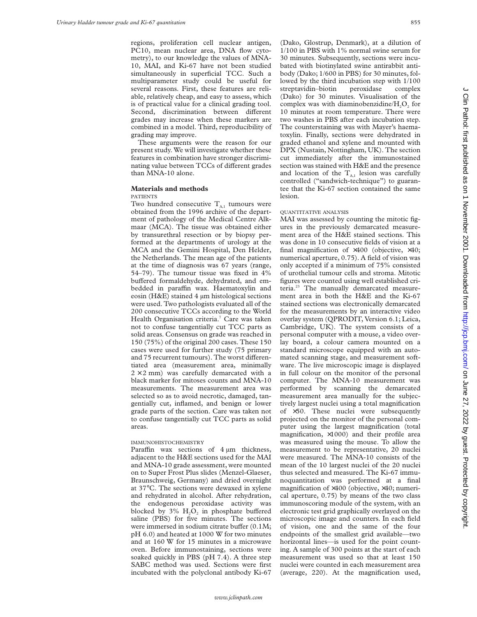regions, proliferation cell nuclear antigen, PC10, mean nuclear area, DNA flow cytometry), to our knowledge the values of MNA-10, MAI, and Ki-67 have not been studied simultaneously in superficial TCC. Such a multiparameter study could be useful for several reasons. First, these features are reliable, relatively cheap, and easy to assess, which is of practical value for a clinical grading tool. Second, discrimination between different grades may increase when these markers are combined in a model. Third, reproducibility of grading may improve.

These arguments were the reason for our present study. We will investigate whether these features in combination have stronger discriminating value between TCCs of different grades than MNA-10 alone.

### **Materials and methods**

PATIENTS

Two hundred consecutive  $T_{A,1}$  tumours were obtained from the 1996 archive of the department of pathology of the Medical Centre Alkmaar (MCA). The tissue was obtained either by transurethral resection or by biopsy performed at the departments of urology at the MCA and the Gemini Hospital, Den Helder, the Netherlands. The mean age of the patients at the time of diagnosis was 67 years (range, 54–79). The tumour tissue was fixed in 4% buffered formaldehyde, dehydrated, and embedded in paraffin wax. Haematoxylin and eosin (H&E) stained 4 µm histological sections were used. Two pathologists evaluated all of the 200 consecutive TCCs according to the World Health Organisation criteria.<sup>7</sup> Care was taken not to confuse tangentially cut TCC parts as solid areas. Consensus on grade was reached in 150 (75%) of the original 200 cases. These 150 cases were used for further study (75 primary and 75 recurrent tumours). The worst differentiated area (measurement area, minimally  $2 \times 2$  mm) was carefully demarcated with a black marker for mitoses counts and MNA-10 measurements. The measurement area was selected so as to avoid necrotic, damaged, tangentially cut, inflamed, and benign or lower grade parts of the section. Care was taken not to confuse tangentially cut TCC parts as solid areas.

### IMMUNOHISTOCHEMISTRY

Paraffin wax sections of  $4 \mu m$  thickness, adjacent to the H&E sections used for the MAI and MNA-10 grade assessment, were mounted on to Super Frost Plus slides (Menzel-Glaeser, Braunschweig, Germany) and dried overnight at 37°C. The sections were dewaxed in xylene and rehydrated in alcohol. After rehydration, the endogenous peroxidase activity was blocked by  $3\%$  H<sub>2</sub>O<sub>2</sub> in phosphate buffered saline (PBS) for five minutes. The sections were immersed in sodium citrate buffer (0.1M; pH 6.0) and heated at 1000 W for two minutes and at 160 W for 15 minutes in a microwave oven. Before immunostaining, sections were soaked quickly in PBS (pH 7.4). A three step SABC method was used. Sections were first incubated with the polyclonal antibody Ki-67 (Dako, Glostrup, Denmark), at a dilution of 1/100 in PBS with 1% normal swine serum for 30 minutes. Subsequently, sections were incubated with biotinylated swine antirabbit antibody (Dako; 1/600 in PBS) for 30 minutes, followed by the third incubation step with  $1/100$ <br>streptavidin-biotin peroxidase complex streptavidin–biotin peroxidase complex (Dako) for 30 minutes. Visualisation of the complex was with diaminobenzidine/ $H<sub>2</sub>O<sub>2</sub>$  for 10 minutes at room temperature. There were two washes in PBS after each incubation step. The counterstaining was with Mayer's haematoxylin. Finally, sections were dehydrated in graded ethanol and xylene and mounted with DPX (Nustain, Nottingham, UK). The section cut immediately after the immunostained section was stained with H&E and the presence and location of the  $T_{A1}$  lesion was carefully controlled ("sandwich-technique") to guarantee that the Ki-67 section contained the same lesion.

#### QUANTITATIVE ANALYSIS

MAI was assessed by counting the mitotic figures in the previously demarcated measurement area of the H&E stained sections. This was done in 10 consecutive fields of vision at a final magnification of  $\times 400$  (objective,  $\times 40$ ; numerical aperture, 0.75). A field of vision was only accepted if a minimum of 75% consisted of urothelial tumour cells and stroma. Mitotic figures were counted using well established criteria.<sup>23</sup> The manually demarcated measurement area in both the H&E and the Ki-67 stained sections was electronically demarcated for the measurements by an interactive video overlay system (QPRODIT, Version 6.1; Leica, Cambridge, UK). The system consists of a personal computer with a mouse, a video overlay board, a colour camera mounted on a standard microscope equipped with an automated scanning stage, and measurement software. The live microscopic image is displayed in full colour on the monitor of the personal computer. The MNA-10 measurement was performed by scanning the demarcated measurement area manually for the subjectively largest nuclei using a total magnification of ×50. These nuclei were subsequently projected on the monitor of the personal computer using the largest magnification (total magnification, ×1000) and their profile area was measured using the mouse. To allow the measurement to be representative, 20 nuclei were measured. The MNA-10 consists of the mean of the 10 largest nuclei of the 20 nuclei thus selected and measured. The Ki-67 immunoquantitation was performed at a final magnification of ×400 (objective, ×40; numerical aperture, 0.75) by means of the two class immunoscoring module of the system, with an electronic test grid graphically overlayed on the microscopic image and counters. In each field of vision, one and the same of the four endpoints of the smallest grid available—two horizontal lines—is used for the point counting. A sample of 300 points at the start of each measurement was used so that at least 150 nuclei were counted in each measurement area (average, 220). At the magnification used,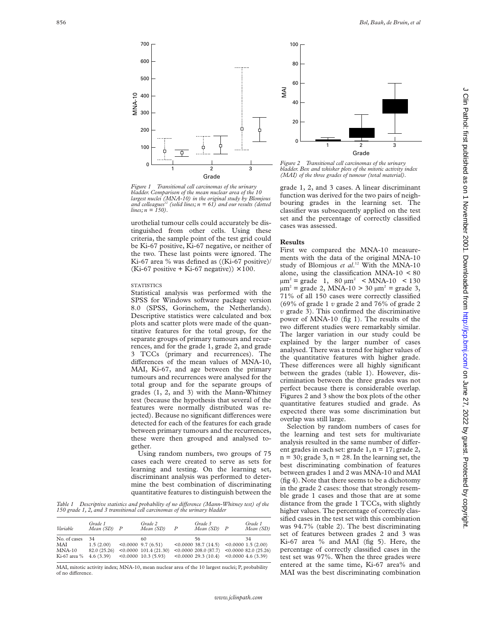

*Figure 1 Transitional cell carcinomas of the urinary bladder. Comparison of the mean nuclear area of the 10 largest nuclei (MNA-10) in the original study by Blomjous and colleagues12 (solid lines; n = 61) and our results (dotted lines; n = 150).*

urothelial tumour cells could accurately be distinguished from other cells. Using these criteria, the sample point of the test grid could be Ki-67 positive, Ki-67 negative, or neither of the two. These last points were ignored. The Ki-67 area % was defined as ((Ki-67 positive)/ (Ki-67 positive + Ki-67 negative))  $\times$  100.

#### **STATISTICS**

Statistical analysis was performed with the SPSS for Windows software package version 8.0 (SPSS, Gorinchem, the Netherlands). Descriptive statistics were calculated and box plots and scatter plots were made of the quantitative features for the total group, for the separate groups of primary tumours and recurrences, and for the grade 1, grade 2, and grade 3 TCCs (primary and recurrences). The differences of the mean values of MNA-10, MAI, Ki-67, and age between the primary tumours and recurrences were analysed for the total group and for the separate groups of grades (1, 2, and 3) with the Mann-Whitney test (because the hypothesis that several of the features were normally distributed was rejected). Because no significant differences were detected for each of the features for each grade between primary tumours and the recurrences, these were then grouped and analysed together.

Using random numbers, two groups of 75 cases each were created to serve as sets for learning and testing. On the learning set, discriminant analysis was performed to determine the best combination of discriminating quantitative features to distinguish between the

*Table 1* Descriptive statistics and probability of no difference (Mann-Whitney test) of the *150 grade 1, 2, and 3 transitional cell carcinomas of the urinary bladder*

| Variable                                        | Grade 1<br>$Mean(SD)$ $P$                    | Grade 2<br>Mean (SD)                                                                 | $\boldsymbol{P}$ | Grade 3<br>$Mean(SD)$ $P$                                                             | Grade 1<br>Mean (SD)                                                       |
|-------------------------------------------------|----------------------------------------------|--------------------------------------------------------------------------------------|------------------|---------------------------------------------------------------------------------------|----------------------------------------------------------------------------|
| No. of cases<br>MAI<br>$MNA-10$<br>Ki-67 area % | 34<br>1.5(2.00)<br>82.0 (25.26)<br>4.6(3.39) | 60<br>$< 0.0000$ 9.7 (6.51)<br>$\leq 0.0000$ 101.4 (21.30)<br>$< 0.0000$ 10.3 (5.93) |                  | 56<br>$< 0.0000$ 38.7 (14.5)<br>$\leq 0.0000$ 208.0 (87.7)<br>$\leq 0.000029.3(10.4)$ | 34<br>< 0.00001.5(2.00)<br>< 0.000082.0(25.26)<br>$\leq 0.0000$ 4.6 (3.39) |

MAI, mitotic activity index; MNA-10, mean nuclear area of the 10 largest nuclei; P, probability of no difference.



*Figure 2 Transitional cell carcinomas of the urinary bladder. Box and whisker plots of the mitotic activity index (MAI) of the three grades of tumour (total material).*

grade 1, 2, and 3 cases. A linear discriminant function was derived for the two pairs of neighbouring grades in the learning set. The classifier was subsequently applied on the test set and the percentage of correctly classified cases was assessed.

## **Results**

First we compared the MNA-10 measurements with the data of the original MNA-10 study of Blomjous *et al*. <sup>12</sup> With the MNA-10 alone, using the classification MNA-10 < 80  $\mu$ m<sup>2</sup> = grade 1, 80  $\mu$ m<sup>2</sup> < MNA-10 < 130  $\mu$ m<sup>2</sup> = grade 2, MNA-10 > 30  $\mu$ m<sup>2</sup> = grade 3, 71% of all 150 cases were correctly classified (69% of grade 1 *v* grade 2 and 76% of grade 2 *v* grade 3). This confirmed the discriminative power of MNA-10 (fig 1). The results of the two different studies were remarkably similar. The larger variation in our study could be explained by the larger number of cases analysed. There was a trend for higher values of the quantitative features with higher grade. These differences were all highly significant between the grades (table 1). However, discrimination between the three grades was not perfect because there is considerable overlap. Figures 2 and 3 show the box plots of the other quantitative features studied and grade. As expected there was some discrimination but overlap was still large.

Selection by random numbers of cases for the learning and test sets for multivariate analysis resulted in the same number of different grades in each set: grade  $1, n = 17$ ; grade  $2$ ,  $n = 30$ ; grade 3,  $n = 28$ . In the learning set, the best discriminating combination of features between grades 1 and 2 was MNA-10 and MAI (fig 4). Note that there seems to be a dichotomy in the grade 2 cases: those that strongly resemble grade 1 cases and those that are at some distance from the grade 1 TCCs, with slightly higher values. The percentage of correctly classified cases in the test set with this combination was 94.7% (table 2). The best discriminating set of features between grades 2 and 3 was Ki-67 area % and MAI (fig 5). Here, the percentage of correctly classified cases in the test set was 97%. When the three grades were entered at the same time, Ki-67 area% and MAI was the best discriminating combination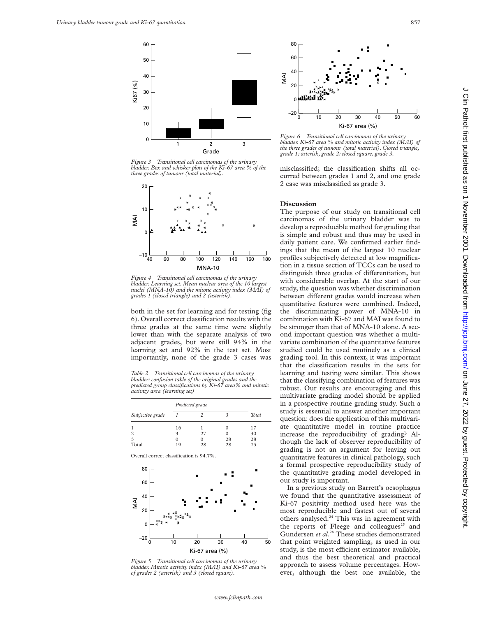

*Figure 3 Transitional cell carcinomas of the urinary bladder. Box and whisker plots of the Ki-67 area % of the three grades of tumour (total material).*



*Figure 4 Transitional cell carcinomas of the urinary bladder. Learning set. Mean nuclear area of the 10 largest nuclei (MNA-10) and the mitotic activity index (MAI) of grades 1 (closed triangle) and 2 (asterisk).*

both in the set for learning and for testing (fig 6). Overall correct classification results with the three grades at the same time were slightly lower than with the separate analysis of two adjacent grades, but were still 94% in the learning set and 92% in the test set. Most importantly, none of the grade 3 cases was

*Table 2 Transitional cell carcinomas of the urinary bladder: confusion table of the original grades and the predicted group classifications by Ki-67 area% and mitotic activity area (learning set)*

|                  | Predicted grade |    |          |              |
|------------------|-----------------|----|----------|--------------|
| Subjective grade |                 |    |          | <b>Total</b> |
|                  | 16<br>3         | 27 | 0        | 17<br>30     |
| 3<br>Total       |                 | 28 | 28<br>28 | 28<br>75     |

Overall correct classification is 94.7%.



*Figure 5 Transitional cell carcinomas of the urinary bladder. Mitotic activity index (MAI) and Ki-67 area % of grades 2 (asterisk) and 3 (closed square).*



*Figure 6 Transitional cell carcinomas of the urinary bladder. Ki-67 area % and mitotic activity index (MAI) of the three grades of tumour (total material). Closed triangle, grade 1; asterisk, grade 2; closed square, grade 3.*

misclassified; the classification shifts all occurred between grades 1 and 2, and one grade 2 case was misclassified as grade 3.

#### **Discussion**

The purpose of our study on transitional cell carcinomas of the urinary bladder was to develop a reproducible method for grading that is simple and robust and thus may be used in daily patient care. We confirmed earlier findings that the mean of the largest 10 nuclear profiles subjectively detected at low magnification in a tissue section of TCCs can be used to distinguish three grades of differentiation, but with considerable overlap. At the start of our study, the question was whether discrimination between different grades would increase when quantitative features were combined. Indeed, the discriminating power of MNA-10 in combination with Ki-67 and MAI was found to be stronger than that of MNA-10 alone. A second important question was whether a multivariate combination of the quantitative features studied could be used routinely as a clinical grading tool. In this context, it was important that the classification results in the sets for learning and testing were similar. This shows that the classifying combination of features was robust. Our results are encouraging and this multivariate grading model should be applied in a prospective routine grading study. Such a study is essential to answer another important question: does the application of this multivariate quantitative model in routine practice increase the reproducibility of grading? Although the lack of observer reproducibility of grading is not an argument for leaving out quantitative features in clinical pathology, such a formal prospective reproducibility study of the quantitative grading model developed in our study is important.

In a previous study on Barrett's oesophagus we found that the quantitative assessment of Ki-67 positivity method used here was the most reproducible and fastest out of several others analysed.<sup>24</sup> This was in agreement with the reports of Fleege and colleagues<sup>25</sup> and Gundersen et al.<sup>26</sup> These studies demonstrated that point weighted sampling, as used in our study, is the most efficient estimator available, and thus the best theoretical and practical approach to assess volume percentages. However, although the best one available, the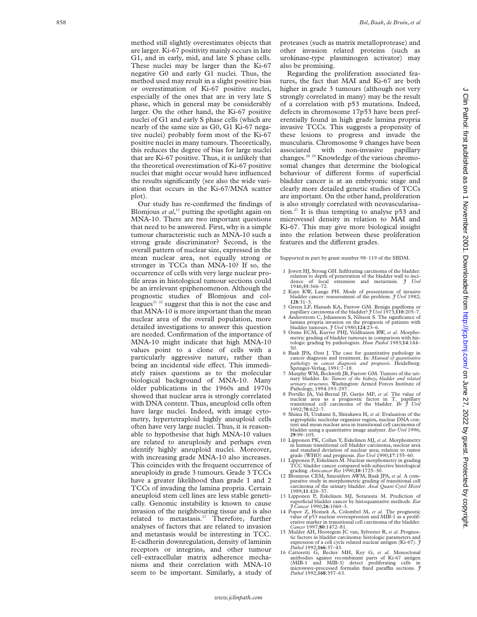method still slightly overestimates objects that are larger. Ki-67 positivity mainly occurs in late G1, and in early, mid, and late S phase cells. These nuclei may be larger than the Ki-67 negative G0 and early G1 nuclei. Thus, the method used may result in a slight positive bias or overestimation of Ki-67 positive nuclei, especially of the ones that are in very late S phase, which in general may be considerably larger. On the other hand, the Ki-67 positive nuclei of G1 and early S phase cells (which are nearly of the same size as G0, G1 Ki-67 negative nuclei) probably form most of the Ki-67 positive nuclei in many tumours. Theoretically, this reduces the degree of bias for large nuclei that are Ki-67 positive. Thus, it is unlikely that the theoretical overestimation of Ki-67 positive nuclei that might occur would have influenced the results significantly (see also the wide variation that occurs in the Ki-67/MNA scatter plot).

Our study has re-confirmed the findings of Blomjous *et al*, <sup>12</sup> putting the spotlight again on MNA-10. There are two important questions that need to be answered. First, why is a simple tumour characteristic such as MNA-10 such a strong grade discriminator? Second, is the overall pattern of nuclear size, expressed in the mean nuclear area, not equally strong or stronger in TCCs than MNA-10? If so, the occurrence of cells with very large nuclear profile areas in histological tumour sections could be an irrelevant epiphenomenon. Although the prognostic studies of Blomjous and colleagues<sup>21 22</sup> suggest that this is not the case and that MNA-10 is more important than the mean nuclear area of the overall population, more detailed investigations to answer this question are needed. Confirmation of the importance of MNA-10 might indicate that high MNA-10 values point to a clone of cells with a particularly aggressive nature, rather than being an incidental side effect. This immediately raises questions as to the molecular biological background of MNA-10. Many older publications in the 1960s and 1970s showed that nuclear area is strongly correlated with DNA content. Thus, aneuploid cells often have large nuclei. Indeed, with image cytometry, hypertetraploid highly aneuploid cells often have very large nuclei. Thus, it is reasonable to hypothesise that high MNA-10 values are related to aneuploidy and perhaps even identify highly aneuploid nuclei. Moreover, with increasing grade MNA-10 also increases. This coincides with the frequent occurrence of aneuploidy in grade 3 tumours. Grade 3 TCCs have a greater likelihood than grade 1 and 2 TCCs of invading the lamina propria. Certain aneuploid stem cell lines are less stable genetically. Genomic instability is known to cause invasion of the neighbouring tissue and is also related to metastasis.<sup>27</sup> Therefore, further analyses of factors that are related to invasion and metastasis would be interesting in TCC. E-cadherin downregulation, density of laminin receptors or integrins, and other tumour cell–extracellular matrix adherence mechanisms and their correlation with MNA-10 seem to be important. Similarly, a study of

proteases (such as matrix metalloprotease) and other invasion related proteins (such as urokinase-type plasminogen activator) may also be promising.

Regarding the proliferation associated features, the fact that MAI and Ki-67 are both higher in grade 3 tumours (although not very strongly correlated in many) may be the result of a correlation with p53 mutations. Indeed, defects in chromosome 17p53 have been preferentially found in high grade lamina propria invasive TCCs. This suggests a propensity of these lesions to progress and invade the muscularis. Chromosome 9 changes have been associated with non-invasive papillary changes.28 29 Knowledge of the various chromosomal changes that determine the biological behaviour of different forms of superficial bladder cancer is at an embryonic stage and clearly more detailed genetic studies of TCCs are important. On the other hand, proliferation is also strongly correlated with neovascularisation.<sup>27</sup> It is thus tempting to analyse  $p53$  and microvessel density in relation to MAI and Ki-67. This may give more biological insight into the relation between these proliferation features and the different grades.

Supported in part by grant number 98–119 of the SBDM.

- 1 Jewett HJ, Strong GH. Infiltrating carcinoma of the bladder: relation to depth of penetration of the bladder wall to inci-dence of local extension and metastasis. *J Urol*
- 2 Kaye KW, Lange PH. Mode of presentation of invasive bladder cancer: reassessment of the problem.  $\tilde{\jmath}$  Urol 1982;<br>128:31-3.
- **<sup>128</sup>**:31–3. 3 Green LF, Hanash KA, Farrow GM. Benign papilloma or
- papillary carcinoma of the bladder? *J Urol* 1973;110:205–7.<br>4 Anderstrom C, Johansson S, Nilsson S. The significance of lamina propria invasion on the prognosis of patients with bladder tumours. *J Urol* 1980;**124**:23–6.
- 5 Ooms ECM, Kurver PHJ, Veldhuizen RW, *et al.* Morphometric grading of bladder tumours in comparison with histologic grading by pathologists. *Hum Pathol* 1983;**14**:144–
- 50. 6 Baak JPA, Oost J. The case for quantitative pathology in cancer diagnosis and treatment. In: *Manual of quantitative pathology in cancer diagnosis and prognosis*. Heidelberg: Springer-Verlag, 1991:7–18.
- 7 Murphy WM, Beckwith JB, Farrow GM. Tumors of the urinary bladder. In: *Tumors of the kidney, bladder and related urinary structures.* Washington: Armed Forces Institute of
- Pathology, 1994:193–297. 8 Portillo JA, Val-Bernal JF, Garijo MF, *et al.* The value of nuclear area as a prognostic factor in  $T_1$ papillary transitional cell carcinoma of the bladder. *Br J Urol*
- 1992;**70**:622–7. 9 Shiina H, Urakami S, Shirakawa H, *et al*. Evaluation of the argyrophilic nucleolar organizer region, nuclear DNA content and mean nuclear area in transitional cell carcinoma of bladder using a quantitative image analyzer. *Eur Urol* 1996;
- **<sup>29</sup>**:99–105. 10 Lipponen PK, Collan Y, Eskelinen MJ, *et al*. Morphometry in human transitional cell bladder carcinoma, nuclear area and standard deviation of nuclear area; relation to tumor grade (WHO) and prognosis. *Eur Urol* 1990;**17**:155–60.
- 11 Lipponen P, Eskelinen M. Nuclear morphometry in grading TCC bladder cancer compared with subjective histological grading. *Anticancer Res* 1990;**10**:1725–30. 12 Blomjous CEM, Smeulders AWM, Baak JPA, *et al.* A com-
- parative study in morphometric grading of transitional cell carcinoma of the urinary bladder. *Anal Quant Cytol Histol* 1989;**11**:426–37. 13 Lipponen P, Eskelinen MJ, Sotarauta M. Prediction of
- superficial bladder cancer by histoquantative methods. *Eur J Cancer* 1990;**26**:1060–3.
- 14 Popov Z, Hoznek A, Colombel M, *et al.* The prognostic value of p53 nuclear overexpression and MIB-1 as a prolif-erative marker in transitional cell carcinoma of the bladder. *Cancer* 1997;**80**:1472–81.
- 15 Mulder AH, Hootegem JC van, Sylvester R, *et al*. Prognostic factors in bladder carcinoma: histologic parameters and expression of a cell cycle related nuclear antigen (Ki-67). *J Pathol* 1992;**166**:37–43.
- 16 Cattoretti G, Becker MH, Key G, *et al.* Monoclonal antibodies against recombinant parts of Ki-67 antigen (MIB-1 and MIB-3) detect proliferating cells in microwave-processed formalin fixed paraffin sections.  $\jmath$ *Pathol* 1992;**168**:357–63.